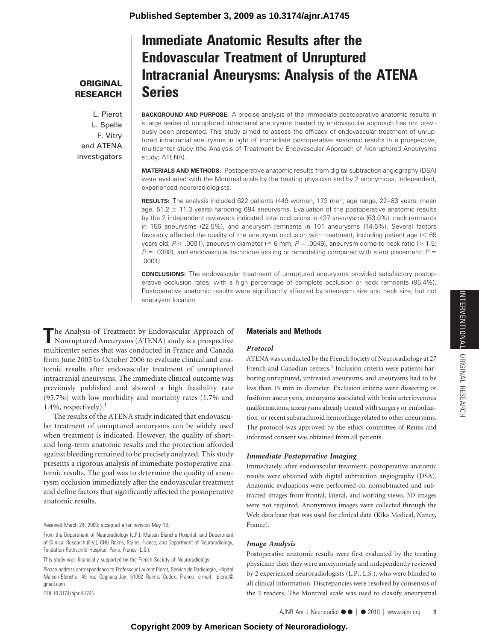**ORIGINAL RESEARCH**

L. Pierot L. Spelle F. Vitry and ATENA investigators

# **Immediate Anatomic Results after the Endovascular Treatment of Unruptured Intracranial Aneurysms: Analysis of the ATENA Series**

**BACKGROUND AND PURPOSE:** A precise analysis of the immediate postoperative anatomic results in a large series of unruptured intracranial aneurysms treated by endovascular approach has not previously been presented. This study aimed to assess the efficacy of endovascular treatment of unruptured intracranial aneurysms in light of immediate postoperative anatomic results in a prospective, multicenter study (the Analysis of Treatment by Endovascular Approach of Nonruptured Aneurysms study; ATENA).

**MATERIALS AND METHODS:** Postoperative anatomic results from digital subtraction angiography (DSA) were evaluated with the Montreal scale by the treating physician and by 2 anonymous, independent, experienced neuroradiologists.

**RESULTS:** The analysis included 622 patients (449 women, 173 men; age range, 22-83 years; mean age,  $51.2 \pm 11.3$  years) harboring 694 aneurysms. Evaluation of the postoperative anatomic results by the 2 independent reviewers indicated total occlusions in 437 aneurysms (63.0%), neck remnants in 156 aneurysms (22.5%), and aneurysm remnants in 101 aneurysms (14.6%). Several factors favorably affected the quality of the aneurysm occlusion with treatment, including patient age  $(< 65$ years old; *P* < .0001), aneurysm diameter (≤ 6 mm; *P* = .0049), aneurysm dome-to-neck ratio (> 1.5;  $P = 0.0388$ ), and endovascular technique (coiling or remodelling compared with stent placement;  $P = 0.0388$ ) .0001).

**CONCLUSIONS:** The endovascular treatment of unruptured aneurysms provided satisfactory postoperative occlusion rates, with a high percentage of complete occlusion or neck remnants (85.4%). Postoperative anatomic results were significantly affected by aneurysm size and neck size, but not aneurysm location.

**T**he Analysis of Treatment by Endovascular Approach of Nonruptured Aneurysms (ATENA) study is a prospective multicenter series that was conducted in France and Canada from June 2005 to October 2006 to evaluate clinical and anatomic results after endovascular treatment of unruptured intracranial aneurysms. The immediate clinical outcome was previously published and showed a high feasibility rate (95.7%) with low morbidity and mortality rates (1.7% and 1.4%, respectively). $<sup>1</sup>$ </sup>

The results of the ATENA study indicated that endovascular treatment of unruptured aneurysms can be widely used when treatment is indicated. However, the quality of shortand long-term anatomic results and the protection afforded against bleeding remained to be precisely analyzed. This study presents a rigorous analysis of immediate postoperative anatomic results. The goal was to determine the quality of aneurysm occlusion immediately after the endovascular treatment and define factors that significantly affected the postoperative anatomic results.

## Received March 24, 2009; accepted after revision May 19.

From the Department of Neuroradiology (L.P.), Maison Blanche Hospital, and Department of Clinical Research (F.V.), CHU Reims, Reims, France; and Department of Neuroradiology, Fondation Rothschild Hospital, Paris, France (L.S.).

This study was financially supported by the French Society of Neuroradiology.

Please address correspondence to Professeur Laurent Pierot, Service de Radiologie, Hôpital Maison-Blanche, 45 rue Cognacq-Jay, 51092 Reims, Cedex, France; e-mail: lpierot@ gmail.com

DOI 10.3174/ajnr.A1745

# **Materials and Methods**

## *Protocol*

ATENA was conducted by the French Society of Neuroradiology at 27 French and Canadian centers.<sup>1</sup> Inclusion criteria were patients harboring unruptured, untreated aneurysms, and aneurysms had to be less than 15 mm in diameter. Exclusion criteria were dissecting or fusiform aneurysms, aneurysms associated with brain arteriovenous malformations, aneurysms already treated with surgery or embolization, or recent subarachnoid hemorrhage related to other aneurysms. The protocol was approved by the ethics committee of Reims and informed consent was obtained from all patients.

# *Immediate Postoperative Imaging*

Immediately after endovascular treatment, postoperative anatomic results were obtained with digital subtraction angiography (DSA). Anatomic evaluations were performed on nonsubtracted and subtracted images from frontal, lateral, and working views. 3D images were not required. Anonymous images were collected through the Web data base that was used for clinical data (Kika Medical, Nancy, France).

#### *Image Analysis*

Postoperative anatomic results were first evaluated by the treating physician; then they were anonymously and independently reviewed by 2 experienced neuroradiologists (L.P., L.S.), who were blinded to all clinical information. Discrepancies were resolved by consensus of the 2 readers. The Montreal scale was used to classify aneurysmal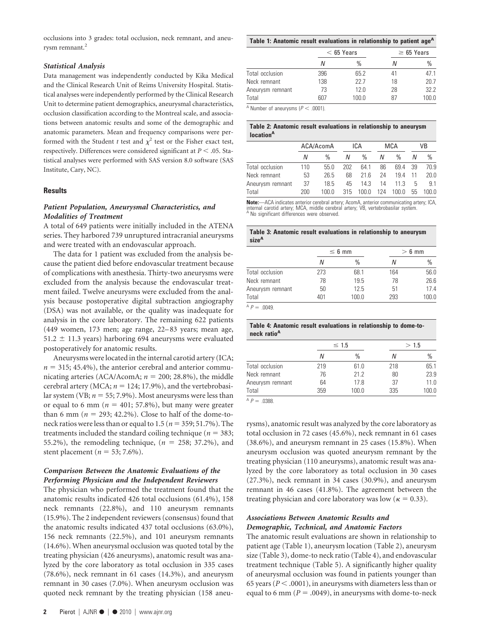occlusions into 3 grades: total occlusion, neck remnant, and aneurysm remnant.<sup>2</sup>

## *Statistical Analysis*

Data management was independently conducted by Kika Medical and the Clinical Research Unit of Reims University Hospital. Statistical analyses were independently performed by the Clinical Research Unit to determine patient demographics, aneurysmal characteristics, occlusion classification according to the Montreal scale, and associations between anatomic results and some of the demographic and anatomic parameters. Mean and frequency comparisons were performed with the Student *t* test and  $\chi^2$  test or the Fisher exact test, respectively. Differences were considered significant at  $P < 0.05$ . Statistical analyses were performed with SAS version 8.0 software (SAS Institute, Cary, NC).

## **Results**

## *Patient Population, Aneurysmal Characteristics, and Modalities of Treatment*

A total of 649 patients were initially included in the ATENA series. They harbored 739 unruptured intracranial aneurysms and were treated with an endovascular approach.

The data for 1 patient was excluded from the analysis because the patient died before endovascular treatment because of complications with anesthesia. Thirty-two aneurysms were excluded from the analysis because the endovascular treatment failed. Twelve aneurysms were excluded from the analysis because postoperative digital subtraction angiography (DSA) was not available, or the quality was inadequate for analysis in the core laboratory. The remaining 622 patients (449 women, 173 men; age range, 22– 83 years; mean age,  $51.2 \pm 11.3$  years) harboring 694 aneurysms were evaluated postoperatively for anatomic results.

Aneurysms were located in the internal carotid artery (ICA;  $n = 315$ ; 45.4%), the anterior cerebral and anterior communicating arteries (ACA/AcomA;  $n = 200$ ; 28.8%), the middle cerebral artery (MCA;  $n = 124$ ; 17.9%), and the vertebrobasilar system (VB;  $n = 55$ ; 7.9%). Most aneurysms were less than or equal to 6 mm ( $n = 401$ ; 57.8%), but many were greater than 6 mm ( $n = 293$ ; 42.2%). Close to half of the dome-toneck ratios were less than or equal to  $1.5$  ( $n = 359; 51.7\%$ ). The treatments included the standard coiling technique ( $n = 383$ ; 55.2%), the remodeling technique,  $(n = 258; 37.2\%)$ , and stent placement ( $n = 53$ ; 7.6%).

# *Comparison Between the Anatomic Evaluations of the Performing Physician and the Independent Reviewers*

The physician who performed the treatment found that the anatomic results indicated 426 total occlusions (61.4%), 158 neck remnants (22.8%), and 110 aneurysm remnants (15.9%). The 2 independent reviewers (consensus) found that the anatomic results indicated 437 total occlusions (63.0%), 156 neck remnants (22.5%), and 101 aneurysm remnants (14.6%). When aneurysmal occlusion was quoted total by the treating physician (426 aneurysms), anatomic result was analyzed by the core laboratory as total occlusion in 335 cases (78.6%), neck remnant in 61 cases (14.3%), and aneurysm remnant in 30 cases (7.0%). When aneurysm occlusion was quoted neck remnant by the treating physician (158 aneu-

| Table 1: Anatomic result evaluations in relationship to patient age <sup>A</sup> |                 |
|----------------------------------------------------------------------------------|-----------------|
| $< 65$ Years                                                                     | $\geq 65$ Years |

|                  |     | $\sim$ 00 10010 | $-$ 00 10010 |       |  |
|------------------|-----|-----------------|--------------|-------|--|
|                  |     | %               | N            | $\%$  |  |
| Total occlusion  | 396 | 65.2            | 41           | 47.1  |  |
| Neck remnant     | 138 | 227             | 18           | 20.7  |  |
| Aneurysm remnant | 73  | 12.0            | 28           | 32.2  |  |
| Total            | 607 | 100.0           | 87           | 100.0 |  |

 $^{\text{A}}$  Number of aneurysms ( $P < .0001$ ).

#### **Table 2: Anatomic result evaluations in relationship to aneurysm locationA**

|                  | ACA/AcomA |               |     | ICA   |     | MCA   |      | VB            |  |
|------------------|-----------|---------------|-----|-------|-----|-------|------|---------------|--|
|                  | N         | $\frac{0}{n}$ | Ν   | %     | Ν   | $\%$  |      | $\frac{0}{0}$ |  |
| Total occlusion  | 110       | 55.0          | 202 | 641   | 86  | 69.4  | - 39 | 70.9          |  |
| Neck remnant     | 53        | 26.5          | 68  | 21f   | 24  | 19.4  | 11   | 20.0          |  |
| Aneurysm remnant | 37        | 18.5          | 45  | 14 3  | 14  | 11.3  | 5    | 91            |  |
| Total            | 200       | 100.0         | 315 | 100.0 | 124 | 100.0 | 55   | 100.0         |  |

**Note:**—ACA indicates anterior cerebral artery; AcomA, anterior communicating artery; ICA, internal carotid artery; MCA, middle cerebral artery; VB, vertebrobasilar system. A No significant differences were observed.

#### **Table 3: Anatomic result evaluations in relationship to aneurysm sizeA**

|                  |     | $\leq 6$ mm | $> 6$ mm |       |  |
|------------------|-----|-------------|----------|-------|--|
|                  | Ν   | $\%$        | Ν        | $\%$  |  |
| Total occlusion  | 273 | 68.1        | 164      | 56.0  |  |
| Neck remnant     | 78  | 19.5        | 78       | 26.6  |  |
| Aneurysm remnant | 50  | 12.5        | 51       | 17.4  |  |
| Total            | 401 | 100.0       | 293      | 100.0 |  |

 $AP = .0049$ 

#### **Table 4: Anatomic result evaluations in relationship to dome-toneck ratioA**

|                  |     | $\leq 1.5$ |     | >1.5  |
|------------------|-----|------------|-----|-------|
|                  | N   | $\%$       |     | $\%$  |
| Total occlusion  | 219 | 61.0       | 218 | 65.1  |
| Neck remnant     | 76  | 21.2       | 80  | 23.9  |
| Aneurysm remnant | 64  | 17.8       | 37  | 11.0  |
| Total            | 359 | 100.0      | 335 | 100.0 |

 $AP = .0388$ 

rysms), anatomic result was analyzed by the core laboratory as total occlusion in 72 cases (45.6%), neck remnant in 61 cases (38.6%), and aneurysm remnant in 25 cases (15.8%). When aneurysm occlusion was quoted aneurysm remnant by the treating physician (110 aneurysms), anatomic result was analyzed by the core laboratory as total occlusion in 30 cases (27.3%), neck remnant in 34 cases (30.9%), and aneurysm remnant in 46 cases (41.8%). The agreement between the treating physician and core laboratory was low ( $\kappa = 0.33$ ).

## *Associations Between Anatomic Results and Demographic, Technical, and Anatomic Factors*

The anatomic result evaluations are shown in relationship to patient age (Table 1), aneurysm location (Table 2), aneurysm size (Table 3), dome-to neck ratio (Table 4), and endovascular treatment technique (Table 5). A significantly higher quality of aneurysmal occlusion was found in patients younger than 65 years ( $P <$  .0001), in aneurysms with diameters less than or equal to 6 mm ( $P = .0049$ ), in aneurysms with dome-to-neck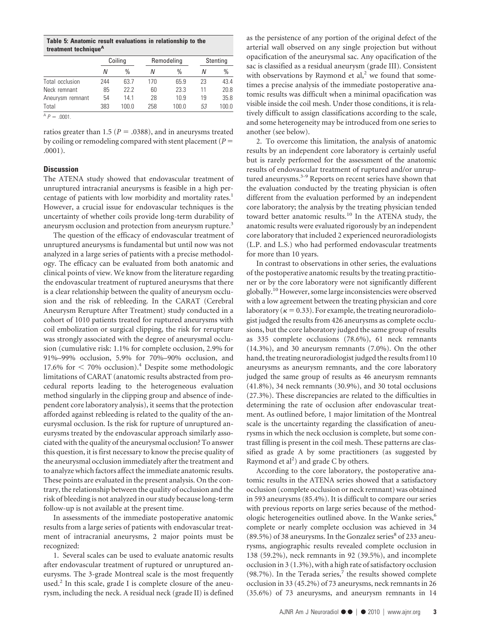**Table 5: Anatomic result evaluations in relationship to the treatment techniqueA**

|                  | Coiling |       | Remodeling |       | Stenting |       |
|------------------|---------|-------|------------|-------|----------|-------|
|                  | Ν       | $\%$  | N          | $\%$  | Ν        | $\%$  |
| Total occlusion  | 244     | 63.7  | 170        | 65.9  | 23       | 43.4  |
| Neck remnant     | 85      | 22.2  | 60         | 23.3  | 11       | 20.8  |
| Aneurysm remnant | 54      | 14.1  | 28         | 10.9  | 19       | 35.8  |
| Total            | 383     | 100.0 | 258        | 100.0 | 53       | 100.0 |
| $A P = 0.001$ .  |         |       |            |       |          |       |

ratios greater than 1.5 ( $P = .0388$ ), and in aneurysms treated by coiling or remodeling compared with stent placement (*P* .0001).

## **Discussion**

The ATENA study showed that endovascular treatment of unruptured intracranial aneurysms is feasible in a high percentage of patients with low morbidity and mortality rates.<sup>1</sup> However, a crucial issue for endovascular techniques is the uncertainty of whether coils provide long-term durability of aneurysm occlusion and protection from aneurysm rupture.<sup>3</sup>

The question of the efficacy of endovascular treatment of unruptured aneurysms is fundamental but until now was not analyzed in a large series of patients with a precise methodology. The efficacy can be evaluated from both anatomic and clinical points of view. We know from the literature regarding the endovascular treatment of ruptured aneurysms that there is a clear relationship between the quality of aneurysm occlusion and the risk of rebleeding. In the CARAT (Cerebral Aneurysm Rerupture After Treatment) study conducted in a cohort of 1010 patients treated for ruptured aneurysms with coil embolization or surgical clipping, the risk for rerupture was strongly associated with the degree of aneurysmal occlusion (cumulative risk: 1.1% for complete occlusion, 2.9% for 91%–99% occlusion, 5.9% for 70%–90% occlusion, and 17.6% for < 70% occlusion).<sup>4</sup> Despite some methodologic limitations of CARAT (anatomic results abstracted from procedural reports leading to the heterogeneous evaluation method singularly in the clipping group and absence of independent core laboratory analysis), it seems that the protection afforded against rebleeding is related to the quality of the aneurysmal occlusion. Is the risk for rupture of unruptured aneurysms treated by the endovascular approach similarly associated with the quality of the aneurysmal occlusion? To answer this question, it is first necessary to know the precise quality of the aneurysmal occlusion immediately after the treatment and to analyze which factors affect the immediate anatomic results. These points are evaluated in the present analysis. On the contrary, the relationship between the quality of occlusion and the risk of bleeding is not analyzed in our study because long-term follow-up is not available at the present time.

In assessments of the immediate postoperative anatomic results from a large series of patients with endovascular treatment of intracranial aneurysms, 2 major points must be recognized:

1. Several scales can be used to evaluate anatomic results after endovascular treatment of ruptured or unruptured aneurysms. The 3-grade Montreal scale is the most frequently used.<sup>2</sup> In this scale, grade I is complete closure of the aneurysm, including the neck. A residual neck (grade II) is defined

as the persistence of any portion of the original defect of the arterial wall observed on any single projection but without opacification of the aneurysmal sac. Any opacification of the sac is classified as a residual aneurysm (grade III). Consistent with observations by Raymond et  $al$ ,<sup>2</sup> we found that sometimes a precise analysis of the immediate postoperative anatomic results was difficult when a minimal opacification was visible inside the coil mesh. Under those conditions, it is relatively difficult to assign classifications according to the scale, and some heterogeneity may be introduced from one series to another (see below).

2. To overcome this limitation, the analysis of anatomic results by an independent core laboratory is certainly useful but is rarely performed for the assessment of the anatomic results of endovascular treatment of ruptured and/or unruptured aneurysms.<sup>3-9</sup> Reports on recent series have shown that the evaluation conducted by the treating physician is often different from the evaluation performed by an independent core laboratory; the analysis by the treating physician tended toward better anatomic results.<sup>10</sup> In the ATENA study, the anatomic results were evaluated rigorously by an independent core laboratory that included 2 experienced neuroradiologists (L.P. and L.S.) who had performed endovascular treatments for more than 10 years.

In contrast to observations in other series, the evaluations of the postoperative anatomic results by the treating practitioner or by the core laboratory were not significantly different globally.<sup>10</sup> However, some large inconsistencies were observed with a low agreement between the treating physician and core laboratory ( $\kappa = 0.33$ ). For example, the treating neuroradiologist judged the results from 426 aneurysms as complete occlusions, but the core laboratory judged the same group of results as 335 complete occlusions (78.6%), 61 neck remnants (14.3%), and 30 aneurysm remnants (7.0%). On the other hand, the treating neuroradiologist judged the results from110 aneurysms as aneurysm remnants, and the core laboratory judged the same group of results as 46 aneurysm remnants (41.8%), 34 neck remnants (30.9%), and 30 total occlusions (27.3%). These discrepancies are related to the difficulties in determining the rate of occlusion after endovascular treatment. As outlined before, 1 major limitation of the Montreal scale is the uncertainty regarding the classification of aneurysms in which the neck occlusion is complete, but some contrast filling is present in the coil mesh. These patterns are classified as grade A by some practitioners (as suggested by Raymond et al<sup>2</sup>) and grade C by others.

According to the core laboratory, the postoperative anatomic results in the ATENA series showed that a satisfactory occlusion (complete occlusion or neck remnant) was obtained in 593 aneurysms (85.4%). It is difficult to compare our series with previous reports on large series because of the methodologic heterogeneities outlined above. In the Wanke series,<sup>6</sup> complete or nearly complete occlusion was achieved in 34  $(89.5\%)$  of 38 aneurysms. In the Gonzalez series<sup>8</sup> of 233 aneurysms, angiographic results revealed complete occlusion in 138 (59.2%), neck remnants in 92 (39.5%), and incomplete occlusion in 3 (1.3%), with a high rate of satisfactory occlusion (98.7%). In the Terada series, $^7$  the results showed complete occlusion in 33 (45.2%) of 73 aneurysms, neck remnants in 26 (35.6%) of 73 aneurysms, and aneurysm remnants in 14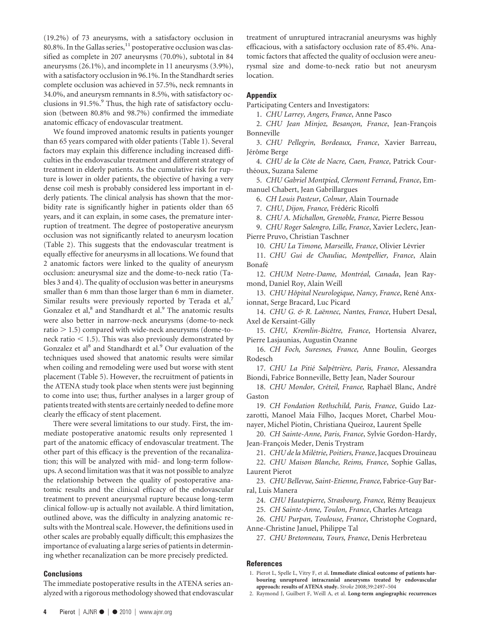(19.2%) of 73 aneurysms, with a satisfactory occlusion in  $80.8\%$ . In the Gallas series,  $11$  postoperative occlusion was classified as complete in 207 aneurysms (70.0%), subtotal in 84 aneurysms (26.1%), and incomplete in 11 aneurysms (3.9%), with a satisfactory occlusion in 96.1%. In the Standhardt series complete occlusion was achieved in 57.5%, neck remnants in 34.0%, and aneurysm remnants in 8.5%, with satisfactory occlusions in 91.5%.<sup>9</sup> Thus, the high rate of satisfactory occlusion (between 80.8% and 98.7%) confirmed the immediate anatomic efficacy of endovascular treatment.

We found improved anatomic results in patients younger than 65 years compared with older patients (Table 1). Several factors may explain this difference including increased difficulties in the endovascular treatment and different strategy of treatment in elderly patients. As the cumulative risk for rupture is lower in older patients, the objective of having a very dense coil mesh is probably considered less important in elderly patients. The clinical analysis has shown that the morbidity rate is significantly higher in patients older than 65 years, and it can explain, in some cases, the premature interruption of treatment. The degree of postoperative aneurysm occlusion was not significantly related to aneurysm location (Table 2). This suggests that the endovascular treatment is equally effective for aneurysms in all locations. We found that 2 anatomic factors were linked to the quality of aneurysm occlusion: aneurysmal size and the dome-to-neck ratio (Tables 3 and 4). The quality of occlusion was better in aneurysms smaller than 6 mm than those larger than 6 mm in diameter. Similar results were previously reported by Terada et  $al$ ,<sup>7</sup> Gonzalez et al,<sup>8</sup> and Standhardt et al.<sup>9</sup> The anatomic results were also better in narrow-neck aneurysms (dome-to-neck ratio  $> 1.5$ ) compared with wide-neck aneurysms (dome-toneck ratio  $<$  1.5). This was also previously demonstrated by Gonzalez et al<sup>8</sup> and Standhardt et al.<sup>9</sup> Our evaluation of the techniques used showed that anatomic results were similar when coiling and remodeling were used but worse with stent placement (Table 5). However, the recruitment of patients in the ATENA study took place when stents were just beginning to come into use; thus, further analyses in a larger group of patients treated with stents are certainly needed to define more clearly the efficacy of stent placement.

There were several limitations to our study. First, the immediate postoperative anatomic results only represented 1 part of the anatomic efficacy of endovascular treatment. The other part of this efficacy is the prevention of the recanalization; this will be analyzed with mid- and long-term followups. A second limitation was that it was not possible to analyze the relationship between the quality of postoperative anatomic results and the clinical efficacy of the endovascular treatment to prevent aneurysmal rupture because long-term clinical follow-up is actually not available. A third limitation, outlined above, was the difficulty in analyzing anatomic results with the Montreal scale. However, the definitions used in other scales are probably equally difficult; this emphasizes the importance of evaluating a large series of patients in determining whether recanalization can be more precisely predicted.

## **Conclusions**

The immediate postoperative results in the ATENA series analyzed with a rigorous methodology showed that endovascular treatment of unruptured intracranial aneurysms was highly efficacious, with a satisfactory occlusion rate of 85.4%. Anatomic factors that affected the quality of occlusion were aneurysmal size and dome-to-neck ratio but not aneurysm location.

# **Appendix**

Participating Centers and Investigators:

1. *CHU Larrey, Angers, France*, Anne Pasco

2. *CHU Jean Minjoz, Besançon, France*, Jean-François Bonneville

3. *CHU Pellegrin, Bordeaux, France*, Xavier Barreau, Jérôme Berge

4. *CHU de la Coˆte de Nacre, Caen, France*, Patrick Courthéoux, Suzana Saleme

5. *CHU Gabriel Montpied, Clermont Ferrand, France*, Emmanuel Chabert, Jean Gabrillargues

6. *CH Louis Pasteur, Colmar,* Alain Tournade

7. CHU, Dijon, France, Frédéric Ricolfi

8. *CHU A. Michallon, Grenoble, France,* Pierre Bessou

9. *CHU Roger Salengro, Lille, France*, Xavier Leclerc, Jean-Pierre Pruvo, Christian Taschner

10. CHU La Timone, Marseille, France, Olivier Lévrier

11. *CHU Gui de Chauliac, Montpellier, France*, Alain Bonafe´

12. CHUM Notre-Dame, Montréal, Canada, Jean Raymond, Daniel Roy, Alain Weill

13. CHU Hôpital Neurologique, Nancy, France, René Anxionnat, Serge Bracard, Luc Picard

14. CHU G. & R. Laënnec, Nantes, France, Hubert Desal, Axel de Kersaint-Gilly

15. *CHU, Kremlin-Bicêtre, France*, Hortensia Alvarez, Pierre Lasjaunias, Augustin Ozanne

16. *CH Foch, Suresnes, France,* Anne Boulin, Georges Rodesch

17. CHU La Pitié Salpêtrière, Paris, France, Alessandra Biondi, Fabrice Bonneville, Betty Jean, Nader Sourour

18. CHU Mondor, Créteil, France, Raphaël Blanc, André Gaston

19. *CH Fondation Rothschild, Paris, France*, Guido Lazzarotti, Manoel Maia Filho, Jacques Moret, Charbel Mounayer, Michel Piotin, Christiana Queiroz, Laurent Spelle

20. *CH Sainte-Anne, Paris, France*, Sylvie Gordon-Hardy, Jean-François Meder, Denis Trystram

21. *CHU de la Mile´trie, Poitiers, France*, Jacques Drouineau

22. *CHU Maison Blanche, Reims, France*, Sophie Gallas, Laurent Pierot

23. *CHU Bellevue, Saint-Etienne, France,* Fabrice-Guy Barral, Luis Manera

24. CHU Hautepierre, Strasbourg, France, Rémy Beaujeux

25. *CH Sainte-Anne, Toulon, France*, Charles Arteaga

26. *CHU Purpan, Toulouse, France*, Christophe Cognard, Anne-Christine Januel, Philippe Tal

27. *CHU Bretonneau, Tours, France*, Denis Herbreteau

## **References**

1. Pierot L, Spelle L, Vitry F, et al**. Immediate clinical outcome of patients harbouring unruptured intracranial aneurysms treated by endovascular approach: results of ATENA study.** *Stroke* 2008;39:2497–504

2. Raymond J, Guilbert F, Weill A, et al. **Long-term angiographic recurrences**